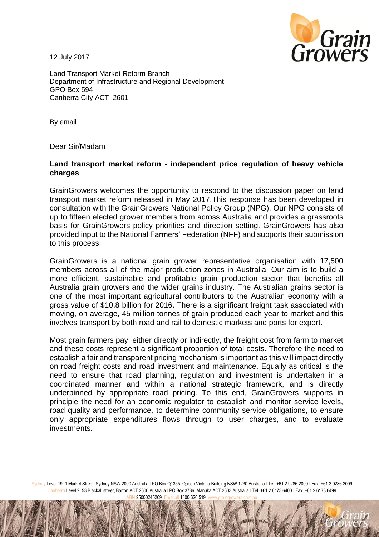12 July 2017



Land Transport Market Reform Branch Department of Infrastructure and Regional Development GPO Box 594 Canberra City ACT 2601

By email

Dear Sir/Madam

## **Land transport market reform - independent price regulation of heavy vehicle charges**

GrainGrowers welcomes the opportunity to respond to the discussion paper on land transport market reform released in May 2017.This response has been developed in consultation with the GrainGrowers National Policy Group (NPG). Our NPG consists of up to fifteen elected grower members from across Australia and provides a grassroots basis for GrainGrowers policy priorities and direction setting. GrainGrowers has also provided input to the National Farmers' Federation (NFF) and supports their submission to this process.

GrainGrowers is a national grain grower representative organisation with 17,500 members across all of the major production zones in Australia. Our aim is to build a more efficient, sustainable and profitable grain production sector that benefits all Australia grain growers and the wider grains industry. The Australian grains sector is one of the most important agricultural contributors to the Australian economy with a gross value of \$10.8 billion for 2016. There is a significant freight task associated with moving, on average, 45 million tonnes of grain produced each year to market and this involves transport by both road and rail to domestic markets and ports for export.

Most grain farmers pay, either directly or indirectly, the freight cost from farm to market and these costs represent a significant proportion of total costs. Therefore the need to establish a fair and transparent pricing mechanism is important as this will impact directly on road freight costs and road investment and maintenance. Equally as critical is the need to ensure that road planning, regulation and investment is undertaken in a coordinated manner and within a national strategic framework, and is directly underpinned by appropriate road pricing. To this end, GrainGrowers supports in principle the need for an economic regulator to establish and monitor service levels, road quality and performance, to determine community service obligations, to ensure only appropriate expenditures flows through to user charges, and to evaluate investments.

Sydney Level 19, 1 Market Street, Sydney NSW 2000 Australia I PO Box Q1355, Queen Victoria Building NSW 1230 Australia I Tel: +61 2 9286 2000 I Fax: +61 2 9286 2099 Canberra Level 2. 53 Blackall street, Barton ACT 2600 Australia I PO Box 3786, Manuka ACT 2603 Australia | Tel: +61 2 6173 6400 | Fax: +61 2 6173 6499 25000245269 Freecall 1800 620 519